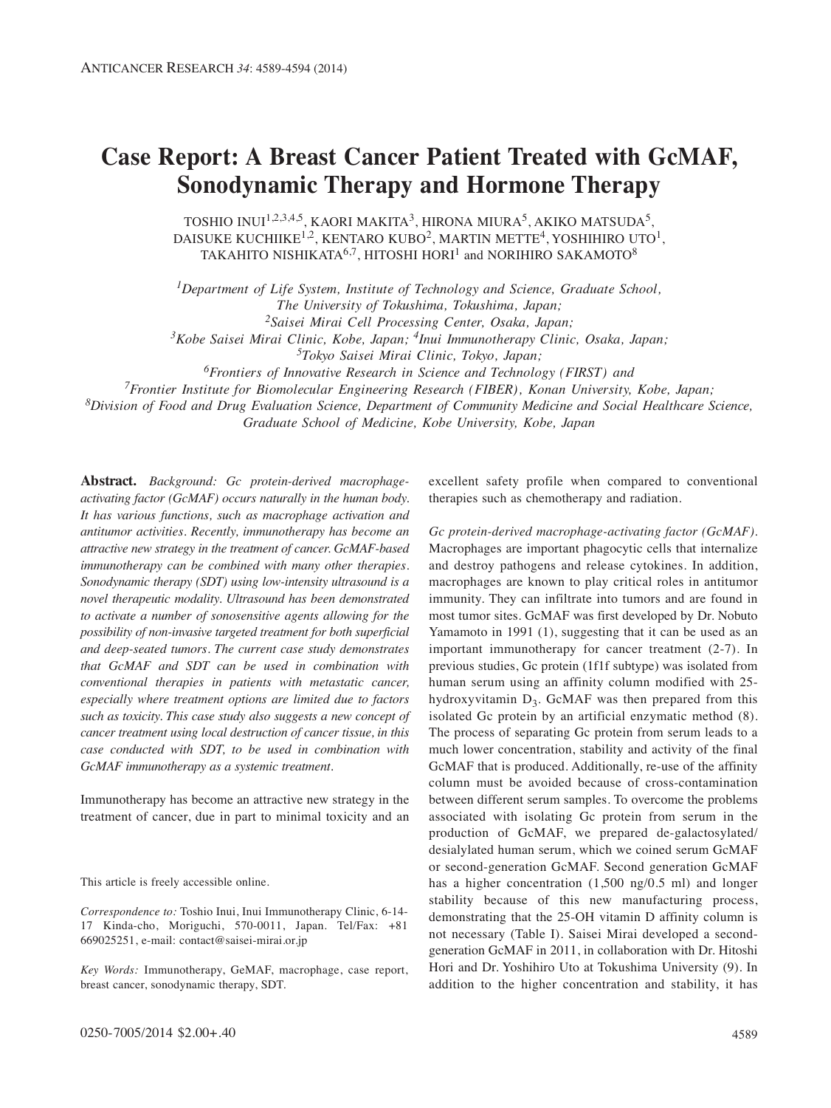## **Case Report: A Breast Cancer Patient Treated with GcMAF, Sonodynamic Therapy and Hormone Therapy**

TOSHIO INUI<sup>1,2,3,4,5</sup>, KAORI MAKITA<sup>3</sup>, HIRONA MIURA<sup>5</sup>, AKIKO MATSUDA<sup>5</sup>, DAISUKE KUCHIIKE<sup>1,2</sup>, KENTARO KUBO<sup>2</sup>, MARTIN METTE<sup>4</sup>, YOSHIHIRO UTO<sup>1</sup>, TAKAHITO NISHIKATA<sup>6,7</sup>, HITOSHI HORI<sup>1</sup> and NORIHIRO SAKAMOTO<sup>8</sup>

*1Department of Life System, Institute of Technology and Science, Graduate School, The University of Tokushima, Tokushima, Japan; 2Saisei Mirai Cell Processing Center, Osaka, Japan;*

*3Kobe Saisei Mirai Clinic, Kobe, Japan; 4Inui Immunotherapy Clinic, Osaka, Japan;*

*5Tokyo Saisei Mirai Clinic, Tokyo, Japan;*

*6Frontiers of Innovative Research in Science and Technology (FIRST) and* 

*7Frontier Institute for Biomolecular Engineering Research (FIBER), Konan University, Kobe, Japan;* 

*8Division of Food and Drug Evaluation Science, Department of Community Medicine and Social Healthcare Science,*

*Graduate School of Medicine, Kobe University, Kobe, Japan*

**Abstract.** *Background: Gc protein-derived macrophageactivating factor (GcMAF) occurs naturally in the human body. It has various functions, such as macrophage activation and antitumor activities. Recently, immunotherapy has become an attractive new strategy in the treatment of cancer. GcMAF-based immunotherapy can be combined with many other therapies. Sonodynamic therapy (SDT) using low-intensity ultrasound is a novel therapeutic modality. Ultrasound has been demonstrated to activate a number of sonosensitive agents allowing for the possibility of non-invasive targeted treatment for both superficial and deep-seated tumors. The current case study demonstrates that GcMAF and SDT can be used in combination with conventional therapies in patients with metastatic cancer, especially where treatment options are limited due to factors such as toxicity. This case study also suggests a new concept of cancer treatment using local destruction of cancer tissue, in this case conducted with SDT, to be used in combination with GcMAF immunotherapy as a systemic treatment.*

Immunotherapy has become an attractive new strategy in the treatment of cancer, due in part to minimal toxicity and an

This article is freely accessible online.

*Correspondence to:* Toshio Inui, Inui Immunotherapy Clinic, 6-14- 17 Kinda-cho, Moriguchi, 570-0011, Japan. Tel/Fax: +81 669025251, e-mail: contact@saisei-mirai.or.jp

*Key Words:* Immunotherapy, GeMAF, macrophage, case report, breast cancer, sonodynamic therapy, SDT.

excellent safety profile when compared to conventional therapies such as chemotherapy and radiation.

*Gc protein-derived macrophage-activating factor (GcMAF).* Macrophages are important phagocytic cells that internalize and destroy pathogens and release cytokines. In addition, macrophages are known to play critical roles in antitumor immunity. They can infiltrate into tumors and are found in most tumor sites. GcMAF was first developed by Dr. Nobuto Yamamoto in 1991 (1), suggesting that it can be used as an important immunotherapy for cancer treatment (2-7). In previous studies, Gc protein (1f1f subtype) was isolated from human serum using an affinity column modified with 25 hydroxyvitamin  $D_3$ . GcMAF was then prepared from this isolated Gc protein by an artificial enzymatic method (8). The process of separating Gc protein from serum leads to a much lower concentration, stability and activity of the final GcMAF that is produced. Additionally, re-use of the affinity column must be avoided because of cross-contamination between different serum samples. To overcome the problems associated with isolating Gc protein from serum in the production of GcMAF, we prepared de-galactosylated/ desialylated human serum, which we coined serum GcMAF or second-generation GcMAF. Second generation GcMAF has a higher concentration (1,500 ng/0.5 ml) and longer stability because of this new manufacturing process, demonstrating that the 25-OH vitamin D affinity column is not necessary (Table I). Saisei Mirai developed a secondgeneration GcMAF in 2011, in collaboration with Dr. Hitoshi Hori and Dr. Yoshihiro Uto at Tokushima University (9). In addition to the higher concentration and stability, it has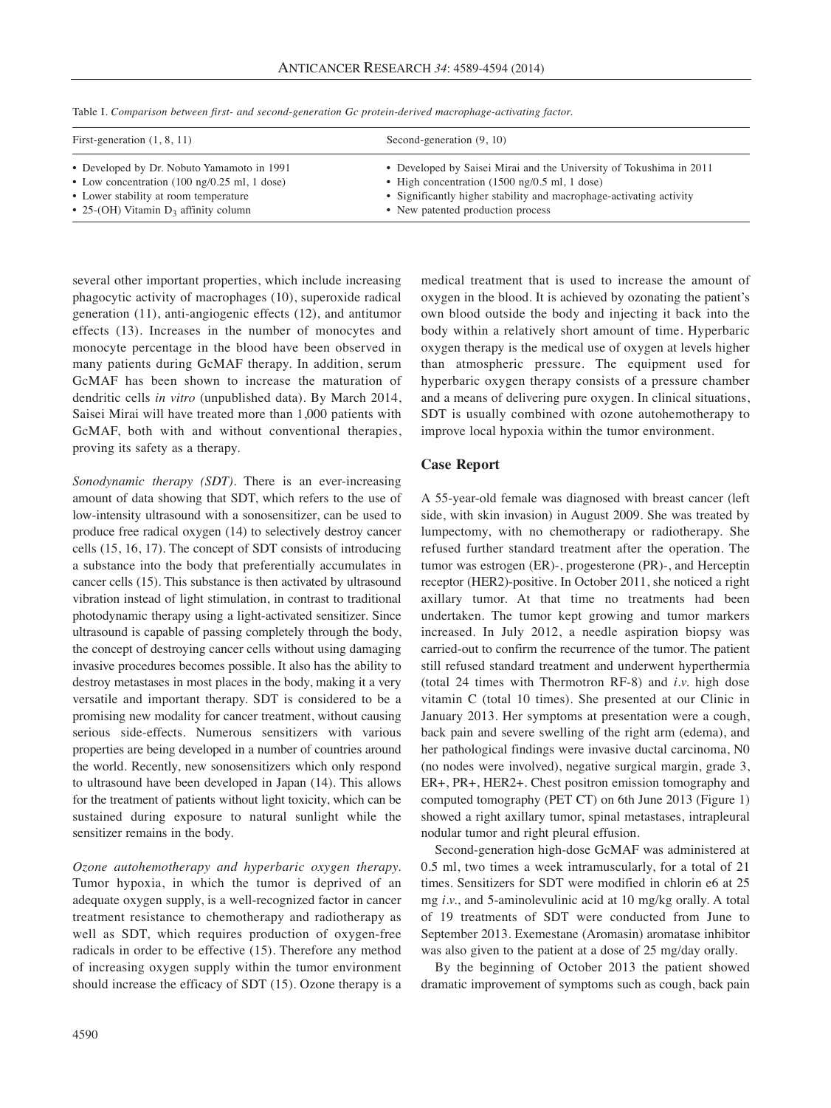| First-generation $(1, 8, 11)$                                                                                                                                                                            | Second-generation $(9, 10)$                                                                                                                                                                                                                                |
|----------------------------------------------------------------------------------------------------------------------------------------------------------------------------------------------------------|------------------------------------------------------------------------------------------------------------------------------------------------------------------------------------------------------------------------------------------------------------|
| • Developed by Dr. Nobuto Yamamoto in 1991<br>• Low concentration $(100 \text{ ng}/0.25 \text{ ml}, 1 \text{ dose})$<br>• Lower stability at room temperature<br>• 25-(OH) Vitamin $D_3$ affinity column | • Developed by Saisei Mirai and the University of Tokushima in 2011<br>• High concentration $(1500 \text{ ng}/0.5 \text{ ml}, 1 \text{ dose})$<br>• Significantly higher stability and macrophage-activating activity<br>• New patented production process |

Table I. *Comparison between first- and second-generation Gc protein-derived macrophage-activating factor.*

several other important properties, which include increasing phagocytic activity of macrophages (10), superoxide radical generation (11), anti-angiogenic effects (12), and antitumor effects (13). Increases in the number of monocytes and monocyte percentage in the blood have been observed in many patients during GcMAF therapy. In addition, serum GcMAF has been shown to increase the maturation of dendritic cells *in vitro* (unpublished data). By March 2014, Saisei Mirai will have treated more than 1,000 patients with GcMAF, both with and without conventional therapies, proving its safety as a therapy.

*Sonodynamic therapy (SDT).* There is an ever-increasing amount of data showing that SDT, which refers to the use of low-intensity ultrasound with a sonosensitizer, can be used to produce free radical oxygen (14) to selectively destroy cancer cells (15, 16, 17). The concept of SDT consists of introducing a substance into the body that preferentially accumulates in cancer cells (15). This substance is then activated by ultrasound vibration instead of light stimulation, in contrast to traditional photodynamic therapy using a light-activated sensitizer. Since ultrasound is capable of passing completely through the body, the concept of destroying cancer cells without using damaging invasive procedures becomes possible. It also has the ability to destroy metastases in most places in the body, making it a very versatile and important therapy. SDT is considered to be a promising new modality for cancer treatment, without causing serious side-effects. Numerous sensitizers with various properties are being developed in a number of countries around the world. Recently, new sonosensitizers which only respond to ultrasound have been developed in Japan (14). This allows for the treatment of patients without light toxicity, which can be sustained during exposure to natural sunlight while the sensitizer remains in the body.

*Ozone autohemotherapy and hyperbaric oxygen therapy.* Tumor hypoxia, in which the tumor is deprived of an adequate oxygen supply, is a well-recognized factor in cancer treatment resistance to chemotherapy and radiotherapy as well as SDT, which requires production of oxygen-free radicals in order to be effective (15). Therefore any method of increasing oxygen supply within the tumor environment should increase the efficacy of SDT (15). Ozone therapy is a medical treatment that is used to increase the amount of oxygen in the blood. It is achieved by ozonating the patient's own blood outside the body and injecting it back into the body within a relatively short amount of time. Hyperbaric oxygen therapy is the medical use of oxygen at levels higher than atmospheric pressure. The equipment used for hyperbaric oxygen therapy consists of a pressure chamber and a means of delivering pure oxygen. In clinical situations, SDT is usually combined with ozone autohemotherapy to improve local hypoxia within the tumor environment.

## **Case Report**

A 55-year-old female was diagnosed with breast cancer (left side, with skin invasion) in August 2009. She was treated by lumpectomy, with no chemotherapy or radiotherapy. She refused further standard treatment after the operation. The tumor was estrogen (ER)-, progesterone (PR)-, and Herceptin receptor (HER2)-positive. In October 2011, she noticed a right axillary tumor. At that time no treatments had been undertaken. The tumor kept growing and tumor markers increased. In July 2012, a needle aspiration biopsy was carried-out to confirm the recurrence of the tumor. The patient still refused standard treatment and underwent hyperthermia (total 24 times with Thermotron RF-8) and *i.v.* high dose vitamin C (total 10 times). She presented at our Clinic in January 2013. Her symptoms at presentation were a cough, back pain and severe swelling of the right arm (edema), and her pathological findings were invasive ductal carcinoma, N0 (no nodes were involved), negative surgical margin, grade 3, ER+, PR+, HER2+. Chest positron emission tomography and computed tomography (PET CT) on 6th June 2013 (Figure 1) showed a right axillary tumor, spinal metastases, intrapleural nodular tumor and right pleural effusion.

Second-generation high-dose GcMAF was administered at 0.5 ml, two times a week intramuscularly, for a total of 21 times. Sensitizers for SDT were modified in chlorin e6 at 25 mg *i.v.*, and 5-aminolevulinic acid at 10 mg/kg orally. A total of 19 treatments of SDT were conducted from June to September 2013. Exemestane (Aromasin) aromatase inhibitor was also given to the patient at a dose of 25 mg/day orally.

By the beginning of October 2013 the patient showed dramatic improvement of symptoms such as cough, back pain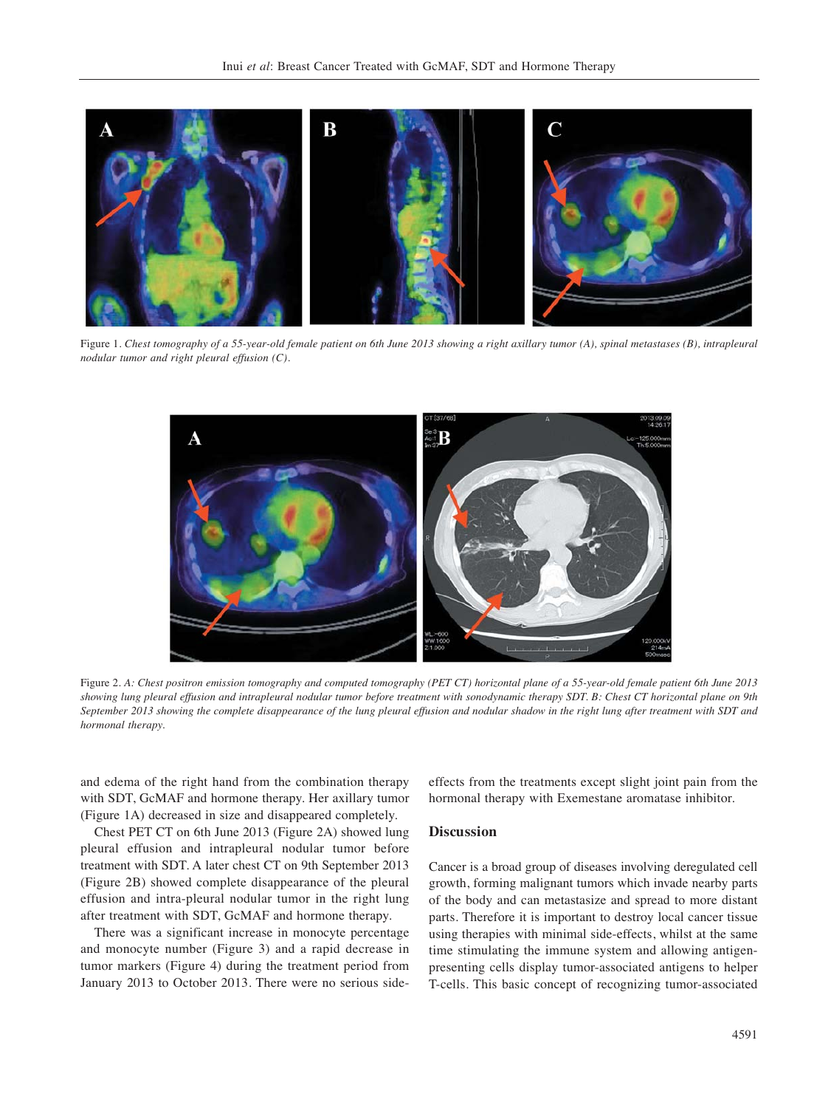

Figure 1. *Chest tomography of a 55-year-old female patient on 6th June 2013 showing a right axillary tumor (A), spinal metastases (B), intrapleural nodular tumor and right pleural effusion (C).*



Figure 2. *A: Chest positron emission tomography and computed tomography (PET CT) horizontal plane of a 55-year-old female patient 6th June 2013 showing lung pleural effusion and intrapleural nodular tumor before treatment with sonodynamic therapy SDT. B: Chest CT horizontal plane on 9th September 2013 showing the complete disappearance of the lung pleural effusion and nodular shadow in the right lung after treatment with SDT and hormonal therapy.*

and edema of the right hand from the combination therapy with SDT, GcMAF and hormone therapy. Her axillary tumor (Figure 1A) decreased in size and disappeared completely.

Chest PET CT on 6th June 2013 (Figure 2A) showed lung pleural effusion and intrapleural nodular tumor before treatment with SDT. A later chest CT on 9th September 2013 (Figure 2B) showed complete disappearance of the pleural effusion and intra-pleural nodular tumor in the right lung after treatment with SDT, GcMAF and hormone therapy.

There was a significant increase in monocyte percentage and monocyte number (Figure 3) and a rapid decrease in tumor markers (Figure 4) during the treatment period from January 2013 to October 2013. There were no serious sideeffects from the treatments except slight joint pain from the hormonal therapy with Exemestane aromatase inhibitor.

## **Discussion**

Cancer is a broad group of diseases involving deregulated cell growth, forming malignant tumors which invade nearby parts of the body and can metastasize and spread to more distant parts. Therefore it is important to destroy local cancer tissue using therapies with minimal side-effects, whilst at the same time stimulating the immune system and allowing antigenpresenting cells display tumor-associated antigens to helper T-cells. This basic concept of recognizing tumor-associated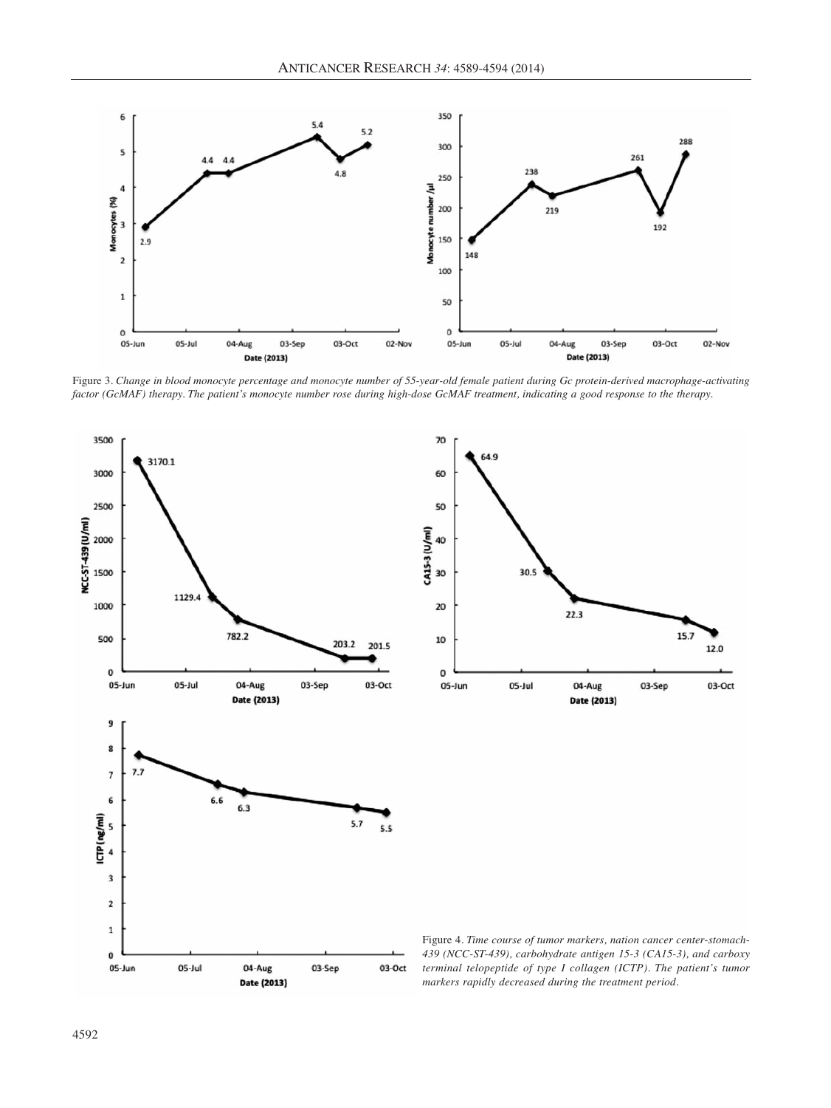

Figure 3. *Change in blood monocyte percentage and monocyte number of 55-year-old female patient during Gc protein-derived macrophage-activating factor (GcMAF) therapy. The patient's monocyte number rose during high-dose GcMAF treatment, indicating a good response to the therapy.*